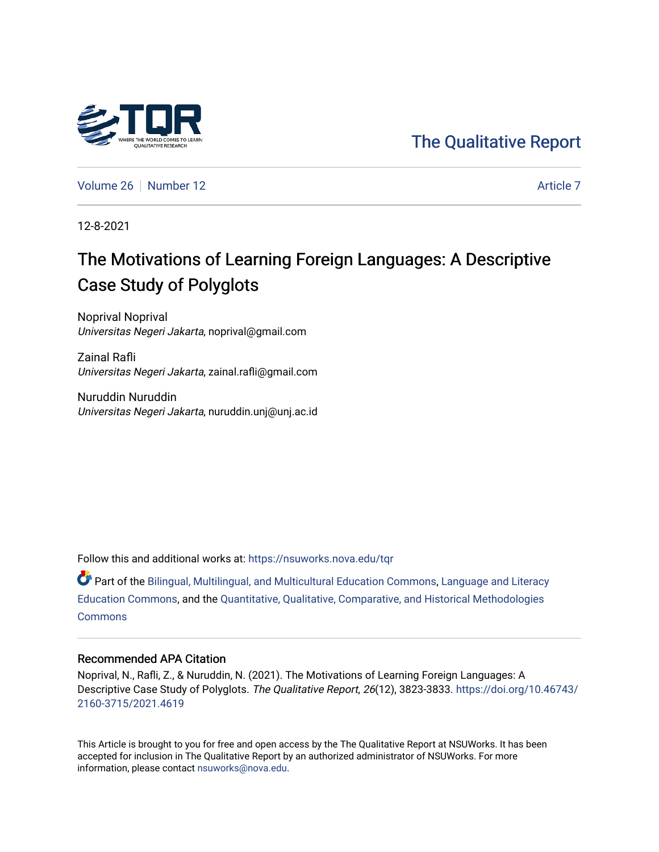## [The Qualitative Report](https://nsuworks.nova.edu/tqr)

[Volume 26](https://nsuworks.nova.edu/tqr/vol26) [Number 12](https://nsuworks.nova.edu/tqr/vol26/iss12) [Article 7](https://nsuworks.nova.edu/tqr/vol26/iss12/7) Article 7

12-8-2021

## The Motivations of Learning Foreign Languages: A Descriptive Case Study of Polyglots

Noprival Noprival Universitas Negeri Jakarta, noprival@gmail.com

Zainal Rafli Universitas Negeri Jakarta, zainal.rafli@gmail.com

Nuruddin Nuruddin Universitas Negeri Jakarta, nuruddin.unj@unj.ac.id

Follow this and additional works at: [https://nsuworks.nova.edu/tqr](https://nsuworks.nova.edu/tqr?utm_source=nsuworks.nova.edu%2Ftqr%2Fvol26%2Fiss12%2F7&utm_medium=PDF&utm_campaign=PDFCoverPages) 

Part of the [Bilingual, Multilingual, and Multicultural Education Commons,](http://network.bepress.com/hgg/discipline/785?utm_source=nsuworks.nova.edu%2Ftqr%2Fvol26%2Fiss12%2F7&utm_medium=PDF&utm_campaign=PDFCoverPages) [Language and Literacy](http://network.bepress.com/hgg/discipline/1380?utm_source=nsuworks.nova.edu%2Ftqr%2Fvol26%2Fiss12%2F7&utm_medium=PDF&utm_campaign=PDFCoverPages) [Education Commons,](http://network.bepress.com/hgg/discipline/1380?utm_source=nsuworks.nova.edu%2Ftqr%2Fvol26%2Fiss12%2F7&utm_medium=PDF&utm_campaign=PDFCoverPages) and the [Quantitative, Qualitative, Comparative, and Historical Methodologies](http://network.bepress.com/hgg/discipline/423?utm_source=nsuworks.nova.edu%2Ftqr%2Fvol26%2Fiss12%2F7&utm_medium=PDF&utm_campaign=PDFCoverPages)  **[Commons](http://network.bepress.com/hgg/discipline/423?utm_source=nsuworks.nova.edu%2Ftqr%2Fvol26%2Fiss12%2F7&utm_medium=PDF&utm_campaign=PDFCoverPages)** 

#### Recommended APA Citation

Noprival, N., Rafli, Z., & Nuruddin, N. (2021). The Motivations of Learning Foreign Languages: A Descriptive Case Study of Polyglots. The Qualitative Report, 26(12), 3823-3833. [https://doi.org/10.46743/](https://doi.org/10.46743/2160-3715/2021.4619) [2160-3715/2021.4619](https://doi.org/10.46743/2160-3715/2021.4619)

This Article is brought to you for free and open access by the The Qualitative Report at NSUWorks. It has been accepted for inclusion in The Qualitative Report by an authorized administrator of NSUWorks. For more information, please contact [nsuworks@nova.edu.](mailto:nsuworks@nova.edu)

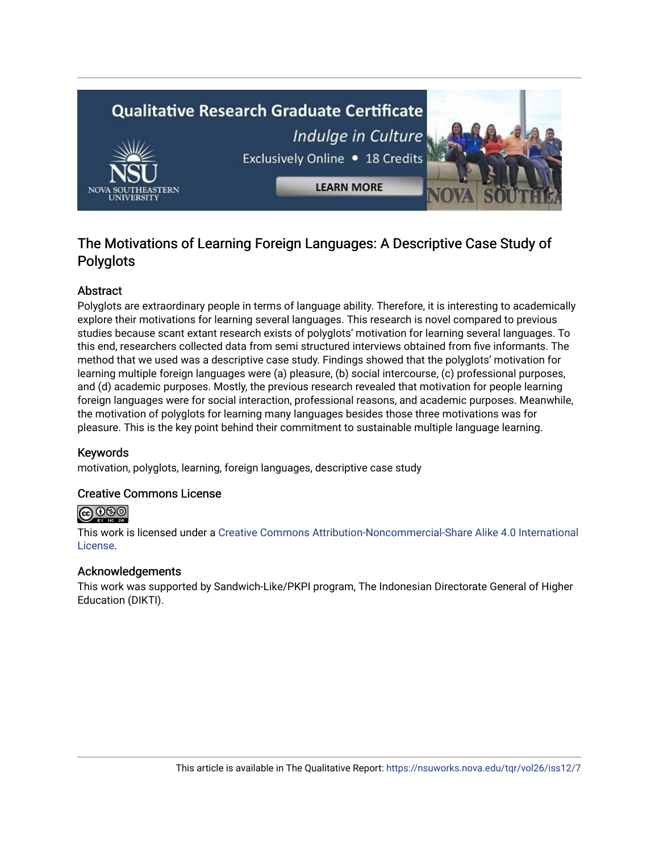# **Qualitative Research Graduate Certificate** Indulge in Culture Exclusively Online . 18 Credits **LEARN MORE**

### The Motivations of Learning Foreign Languages: A Descriptive Case Study of Polyglots

#### Abstract

Polyglots are extraordinary people in terms of language ability. Therefore, it is interesting to academically explore their motivations for learning several languages. This research is novel compared to previous studies because scant extant research exists of polyglots' motivation for learning several languages. To this end, researchers collected data from semi structured interviews obtained from five informants. The method that we used was a descriptive case study. Findings showed that the polyglots' motivation for learning multiple foreign languages were (a) pleasure, (b) social intercourse, (c) professional purposes, and (d) academic purposes. Mostly, the previous research revealed that motivation for people learning foreign languages were for social interaction, professional reasons, and academic purposes. Meanwhile, the motivation of polyglots for learning many languages besides those three motivations was for pleasure. This is the key point behind their commitment to sustainable multiple language learning.

#### Keywords

motivation, polyglots, learning, foreign languages, descriptive case study

#### Creative Commons License



This work is licensed under a [Creative Commons Attribution-Noncommercial-Share Alike 4.0 International](https://creativecommons.org/licenses/by-nc-sa/4.0/)  [License](https://creativecommons.org/licenses/by-nc-sa/4.0/).

#### Acknowledgements

This work was supported by Sandwich-Like/PKPI program, The Indonesian Directorate General of Higher Education (DIKTI).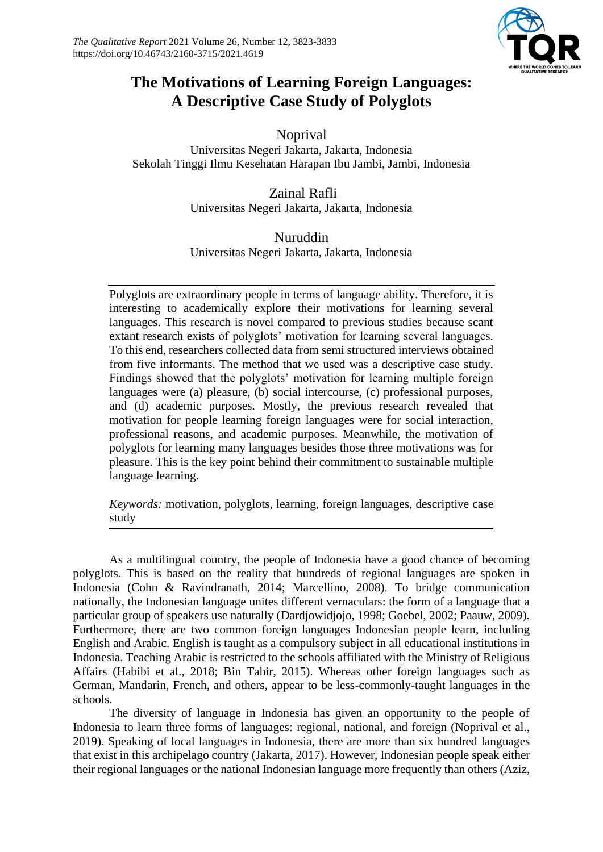

## **The Motivations of Learning Foreign Languages: A Descriptive Case Study of Polyglots**

Noprival Universitas Negeri Jakarta, Jakarta, Indonesia Sekolah Tinggi Ilmu Kesehatan Harapan Ibu Jambi, Jambi, Indonesia

> Zainal Rafli Universitas Negeri Jakarta, Jakarta, Indonesia

> Nuruddin Universitas Negeri Jakarta, Jakarta, Indonesia

Polyglots are extraordinary people in terms of language ability. Therefore, it is interesting to academically explore their motivations for learning several languages. This research is novel compared to previous studies because scant extant research exists of polyglots' motivation for learning several languages. To this end, researchers collected data from semi structured interviews obtained from five informants. The method that we used was a descriptive case study. Findings showed that the polyglots' motivation for learning multiple foreign languages were (a) pleasure, (b) social intercourse, (c) professional purposes, and (d) academic purposes. Mostly, the previous research revealed that motivation for people learning foreign languages were for social interaction, professional reasons, and academic purposes. Meanwhile, the motivation of polyglots for learning many languages besides those three motivations was for pleasure. This is the key point behind their commitment to sustainable multiple language learning.

*Keywords:* motivation, polyglots, learning, foreign languages, descriptive case study

As a multilingual country, the people of Indonesia have a good chance of becoming polyglots. This is based on the reality that hundreds of regional languages are spoken in Indonesia (Cohn & Ravindranath, 2014; Marcellino, 2008). To bridge communication nationally, the Indonesian language unites different vernaculars: the form of a language that a particular group of speakers use naturally (Dardjowidjojo, 1998; Goebel, 2002; Paauw, 2009). Furthermore, there are two common foreign languages Indonesian people learn, including English and Arabic. English is taught as a compulsory subject in all educational institutions in Indonesia. Teaching Arabic is restricted to the schools affiliated with the Ministry of Religious Affairs (Habibi et al., 2018; Bin Tahir, 2015). Whereas other foreign languages such as German, Mandarin, French, and others, appear to be less-commonly-taught languages in the schools.

The diversity of language in Indonesia has given an opportunity to the people of Indonesia to learn three forms of languages: regional, national, and foreign (Noprival et al., 2019). Speaking of local languages in Indonesia, there are more than six hundred languages that exist in this archipelago country (Jakarta, 2017). However, Indonesian people speak either their regional languages or the national Indonesian language more frequently than others (Aziz,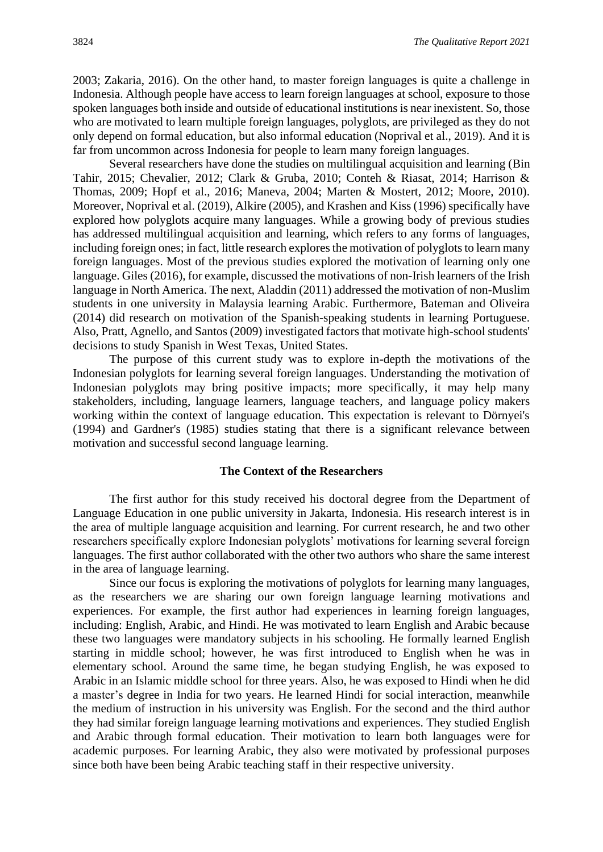2003; Zakaria, 2016). On the other hand, to master foreign languages is quite a challenge in Indonesia. Although people have access to learn foreign languages at school, exposure to those spoken languages both inside and outside of educational institutions is near inexistent. So, those who are motivated to learn multiple foreign languages, polyglots, are privileged as they do not only depend on formal education, but also informal education (Noprival et al., 2019). And it is far from uncommon across Indonesia for people to learn many foreign languages.

Several researchers have done the studies on multilingual acquisition and learning (Bin Tahir, 2015; Chevalier, 2012; Clark & Gruba, 2010; Conteh & Riasat, 2014; Harrison & Thomas, 2009; Hopf et al., 2016; Maneva, 2004; Marten & Mostert, 2012; Moore, 2010). Moreover, Noprival et al. (2019), Alkire (2005), and Krashen and Kiss (1996) specifically have explored how polyglots acquire many languages. While a growing body of previous studies has addressed multilingual acquisition and learning, which refers to any forms of languages, including foreign ones; in fact, little research explores the motivation of polyglots to learn many foreign languages. Most of the previous studies explored the motivation of learning only one language. Giles (2016), for example, discussed the motivations of non-Irish learners of the Irish language in North America. The next, Aladdin (2011) addressed the motivation of non-Muslim students in one university in Malaysia learning Arabic. Furthermore, Bateman and Oliveira (2014) did research on motivation of the Spanish-speaking students in learning Portuguese. Also, Pratt, Agnello, and Santos (2009) investigated factors that motivate high-school students' decisions to study Spanish in West Texas, United States.

The purpose of this current study was to explore in-depth the motivations of the Indonesian polyglots for learning several foreign languages. Understanding the motivation of Indonesian polyglots may bring positive impacts; more specifically, it may help many stakeholders, including, language learners, language teachers, and language policy makers working within the context of language education. This expectation is relevant to Dörnyei's (1994) and Gardner's (1985) studies stating that there is a significant relevance between motivation and successful second language learning.

#### **The Context of the Researchers**

The first author for this study received his doctoral degree from the Department of Language Education in one public university in Jakarta, Indonesia. His research interest is in the area of multiple language acquisition and learning. For current research, he and two other researchers specifically explore Indonesian polyglots' motivations for learning several foreign languages. The first author collaborated with the other two authors who share the same interest in the area of language learning.

Since our focus is exploring the motivations of polyglots for learning many languages, as the researchers we are sharing our own foreign language learning motivations and experiences. For example, the first author had experiences in learning foreign languages, including: English, Arabic, and Hindi. He was motivated to learn English and Arabic because these two languages were mandatory subjects in his schooling. He formally learned English starting in middle school; however, he was first introduced to English when he was in elementary school. Around the same time, he began studying English, he was exposed to Arabic in an Islamic middle school for three years. Also, he was exposed to Hindi when he did a master's degree in India for two years. He learned Hindi for social interaction, meanwhile the medium of instruction in his university was English. For the second and the third author they had similar foreign language learning motivations and experiences. They studied English and Arabic through formal education. Their motivation to learn both languages were for academic purposes. For learning Arabic, they also were motivated by professional purposes since both have been being Arabic teaching staff in their respective university.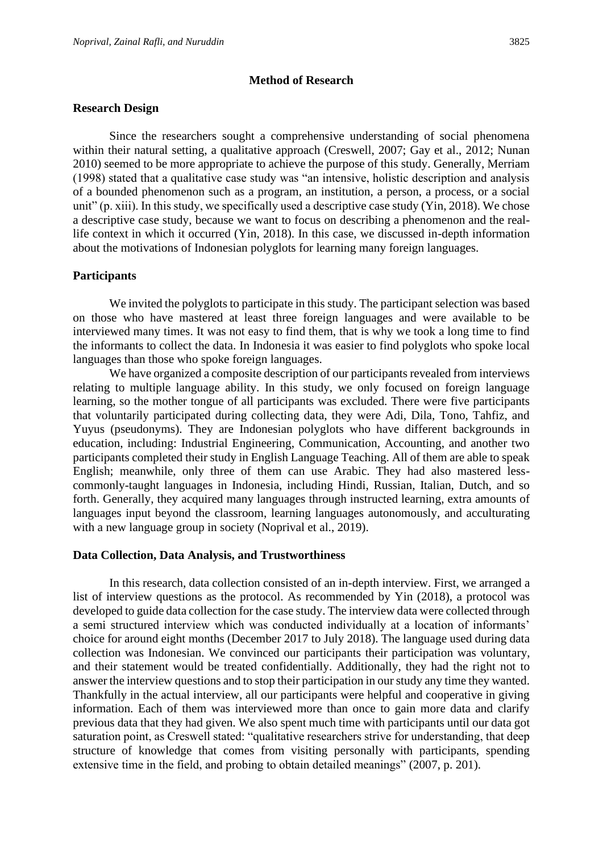#### **Method of Research**

#### **Research Design**

Since the researchers sought a comprehensive understanding of social phenomena within their natural setting, a qualitative approach (Creswell, 2007; Gay et al., 2012; Nunan 2010) seemed to be more appropriate to achieve the purpose of this study. Generally, Merriam (1998) stated that a qualitative case study was "an intensive, holistic description and analysis of a bounded phenomenon such as a program, an institution, a person, a process, or a social unit" (p. xiii). In this study, we specifically used a descriptive case study (Yin, 2018). We chose a descriptive case study, because we want to focus on describing a phenomenon and the reallife context in which it occurred (Yin, 2018). In this case, we discussed in-depth information about the motivations of Indonesian polyglots for learning many foreign languages.

#### **Participants**

We invited the polyglots to participate in this study. The participant selection was based on those who have mastered at least three foreign languages and were available to be interviewed many times. It was not easy to find them, that is why we took a long time to find the informants to collect the data. In Indonesia it was easier to find polyglots who spoke local languages than those who spoke foreign languages.

We have organized a composite description of our participants revealed from interviews relating to multiple language ability. In this study, we only focused on foreign language learning, so the mother tongue of all participants was excluded. There were five participants that voluntarily participated during collecting data, they were Adi, Dila, Tono, Tahfiz, and Yuyus (pseudonyms). They are Indonesian polyglots who have different backgrounds in education, including: Industrial Engineering, Communication, Accounting, and another two participants completed their study in English Language Teaching. All of them are able to speak English; meanwhile, only three of them can use Arabic. They had also mastered lesscommonly-taught languages in Indonesia, including Hindi, Russian, Italian, Dutch, and so forth. Generally, they acquired many languages through instructed learning, extra amounts of languages input beyond the classroom, learning languages autonomously, and acculturating with a new language group in society (Noprival et al., 2019).

#### **Data Collection, Data Analysis, and Trustworthiness**

In this research, data collection consisted of an in-depth interview. First, we arranged a list of interview questions as the protocol. As recommended by Yin (2018), a protocol was developed to guide data collection for the case study. The interview data were collected through a semi structured interview which was conducted individually at a location of informants' choice for around eight months (December 2017 to July 2018). The language used during data collection was Indonesian. We convinced our participants their participation was voluntary, and their statement would be treated confidentially. Additionally, they had the right not to answer the interview questions and to stop their participation in our study any time they wanted. Thankfully in the actual interview, all our participants were helpful and cooperative in giving information. Each of them was interviewed more than once to gain more data and clarify previous data that they had given. We also spent much time with participants until our data got saturation point, as Creswell stated: "qualitative researchers strive for understanding, that deep structure of knowledge that comes from visiting personally with participants, spending extensive time in the field, and probing to obtain detailed meanings" (2007, p. 201).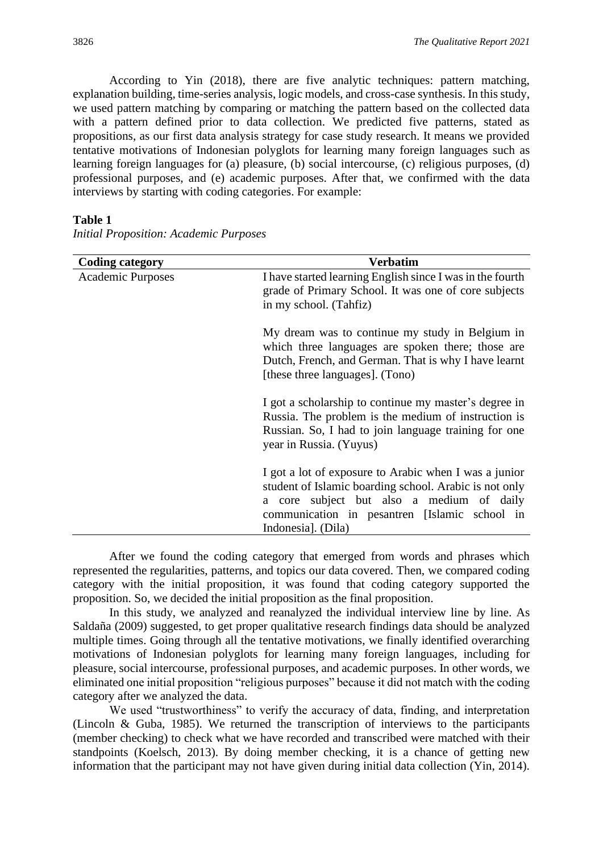According to Yin (2018), there are five analytic techniques: pattern matching, explanation building, time-series analysis, logic models, and cross-case synthesis. In this study, we used pattern matching by comparing or matching the pattern based on the collected data with a pattern defined prior to data collection. We predicted five patterns, stated as propositions, as our first data analysis strategy for case study research. It means we provided tentative motivations of Indonesian polyglots for learning many foreign languages such as learning foreign languages for (a) pleasure, (b) social intercourse, (c) religious purposes, (d) professional purposes, and (e) academic purposes. After that, we confirmed with the data interviews by starting with coding categories. For example:

#### **Table 1**

| <b>Coding category</b>   | Verbatim                                                                                                                                                                                                                            |
|--------------------------|-------------------------------------------------------------------------------------------------------------------------------------------------------------------------------------------------------------------------------------|
| <b>Academic Purposes</b> | I have started learning English since I was in the fourth<br>grade of Primary School. It was one of core subjects<br>in my school. (Tahfiz)                                                                                         |
|                          | My dream was to continue my study in Belgium in<br>which three languages are spoken there; those are<br>Dutch, French, and German. That is why I have learnt<br>[these three languages]. (Tono)                                     |
|                          | I got a scholarship to continue my master's degree in<br>Russia. The problem is the medium of instruction is<br>Russian. So, I had to join language training for one<br>year in Russia. (Yuyus)                                     |
|                          | I got a lot of exposure to Arabic when I was a junior<br>student of Islamic boarding school. Arabic is not only<br>a core subject but also a medium of daily<br>communication in pesantren [Islamic school in<br>Indonesia]. (Dila) |

*Initial Proposition: Academic Purposes*

After we found the coding category that emerged from words and phrases which represented the regularities, patterns, and topics our data covered. Then, we compared coding category with the initial proposition, it was found that coding category supported the proposition. So, we decided the initial proposition as the final proposition.

In this study, we analyzed and reanalyzed the individual interview line by line. As Saldaña (2009) suggested, to get proper qualitative research findings data should be analyzed multiple times. Going through all the tentative motivations, we finally identified overarching motivations of Indonesian polyglots for learning many foreign languages, including for pleasure, social intercourse, professional purposes, and academic purposes. In other words, we eliminated one initial proposition "religious purposes" because it did not match with the coding category after we analyzed the data.

We used "trustworthiness" to verify the accuracy of data, finding, and interpretation (Lincoln & Guba, 1985). We returned the transcription of interviews to the participants (member checking) to check what we have recorded and transcribed were matched with their standpoints (Koelsch, 2013). By doing member checking, it is a chance of getting new information that the participant may not have given during initial data collection (Yin, 2014).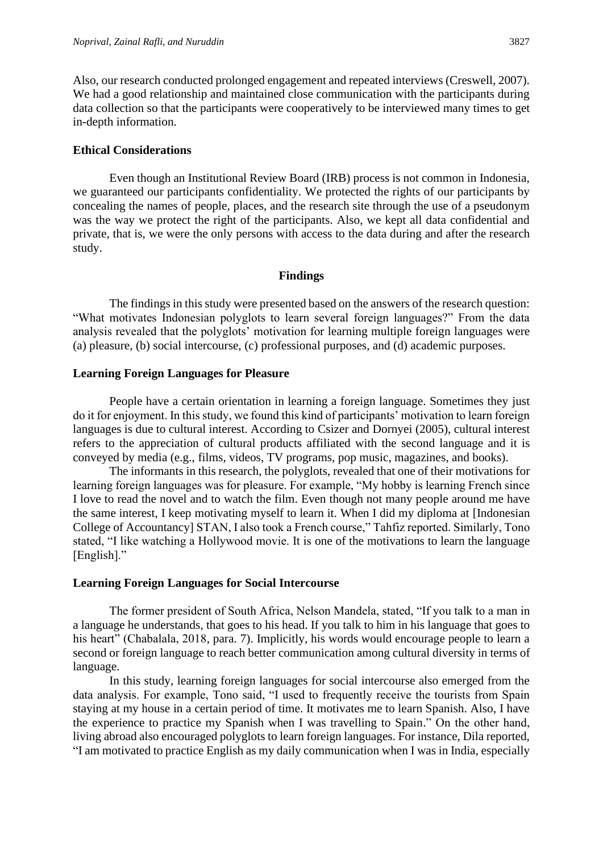Also, our research conducted prolonged engagement and repeated interviews (Creswell, 2007). We had a good relationship and maintained close communication with the participants during data collection so that the participants were cooperatively to be interviewed many times to get in-depth information.

#### **Ethical Considerations**

Even though an Institutional Review Board (IRB) process is not common in Indonesia, we guaranteed our participants confidentiality. We protected the rights of our participants by concealing the names of people, places, and the research site through the use of a pseudonym was the way we protect the right of the participants. Also, we kept all data confidential and private, that is, we were the only persons with access to the data during and after the research study.

#### **Findings**

The findings in this study were presented based on the answers of the research question: "What motivates Indonesian polyglots to learn several foreign languages?" From the data analysis revealed that the polyglots' motivation for learning multiple foreign languages were (a) pleasure, (b) social intercourse, (c) professional purposes, and (d) academic purposes.

#### **Learning Foreign Languages for Pleasure**

People have a certain orientation in learning a foreign language. Sometimes they just do it for enjoyment. In this study, we found this kind of participants' motivation to learn foreign languages is due to cultural interest. According to Csizer and Dornyei (2005), cultural interest refers to the appreciation of cultural products affiliated with the second language and it is conveyed by media (e.g., films, videos, TV programs, pop music, magazines, and books).

The informants in this research, the polyglots, revealed that one of their motivations for learning foreign languages was for pleasure. For example, "My hobby is learning French since I love to read the novel and to watch the film. Even though not many people around me have the same interest, I keep motivating myself to learn it. When I did my diploma at [Indonesian College of Accountancy] STAN, I also took a French course," Tahfiz reported. Similarly, Tono stated, "I like watching a Hollywood movie. It is one of the motivations to learn the language [English]."

#### **Learning Foreign Languages for Social Intercourse**

The former president of South Africa, Nelson Mandela, stated, "If you talk to a man in a language he understands, that goes to his head. If you talk to him in his language that goes to his heart" (Chabalala, 2018, para. 7). Implicitly, his words would encourage people to learn a second or foreign language to reach better communication among cultural diversity in terms of language.

In this study, learning foreign languages for social intercourse also emerged from the data analysis. For example, Tono said, "I used to frequently receive the tourists from Spain staying at my house in a certain period of time. It motivates me to learn Spanish. Also, I have the experience to practice my Spanish when I was travelling to Spain." On the other hand, living abroad also encouraged polyglots to learn foreign languages. For instance, Dila reported, "I am motivated to practice English as my daily communication when I was in India, especially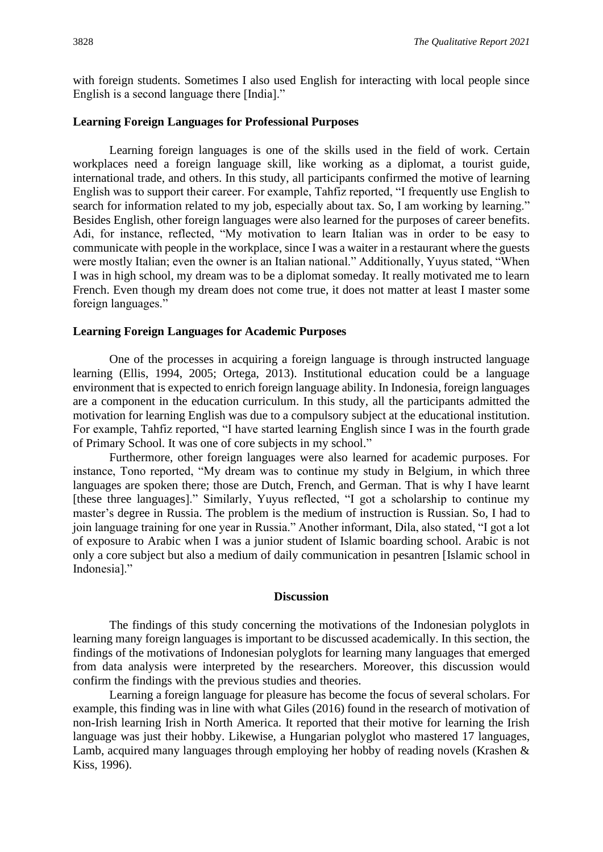with foreign students. Sometimes I also used English for interacting with local people since English is a second language there [India]."

#### **Learning Foreign Languages for Professional Purposes**

Learning foreign languages is one of the skills used in the field of work. Certain workplaces need a foreign language skill, like working as a diplomat, a tourist guide, international trade, and others. In this study, all participants confirmed the motive of learning English was to support their career. For example, Tahfiz reported, "I frequently use English to search for information related to my job, especially about tax. So, I am working by learning." Besides English, other foreign languages were also learned for the purposes of career benefits. Adi, for instance, reflected, "My motivation to learn Italian was in order to be easy to communicate with people in the workplace, since I was a waiter in a restaurant where the guests were mostly Italian; even the owner is an Italian national." Additionally, Yuyus stated, "When I was in high school, my dream was to be a diplomat someday. It really motivated me to learn French. Even though my dream does not come true, it does not matter at least I master some foreign languages."

#### **Learning Foreign Languages for Academic Purposes**

One of the processes in acquiring a foreign language is through instructed language learning (Ellis, 1994, 2005; Ortega, 2013). Institutional education could be a language environment that is expected to enrich foreign language ability. In Indonesia, foreign languages are a component in the education curriculum. In this study, all the participants admitted the motivation for learning English was due to a compulsory subject at the educational institution. For example, Tahfiz reported, "I have started learning English since I was in the fourth grade of Primary School. It was one of core subjects in my school."

Furthermore, other foreign languages were also learned for academic purposes. For instance, Tono reported, "My dream was to continue my study in Belgium, in which three languages are spoken there; those are Dutch, French, and German. That is why I have learnt [these three languages]." Similarly, Yuyus reflected, "I got a scholarship to continue my master's degree in Russia. The problem is the medium of instruction is Russian. So, I had to join language training for one year in Russia." Another informant, Dila, also stated, "I got a lot of exposure to Arabic when I was a junior student of Islamic boarding school. Arabic is not only a core subject but also a medium of daily communication in pesantren [Islamic school in Indonesia]."

#### **Discussion**

The findings of this study concerning the motivations of the Indonesian polyglots in learning many foreign languages is important to be discussed academically. In this section, the findings of the motivations of Indonesian polyglots for learning many languages that emerged from data analysis were interpreted by the researchers. Moreover, this discussion would confirm the findings with the previous studies and theories.

Learning a foreign language for pleasure has become the focus of several scholars. For example, this finding was in line with what Giles (2016) found in the research of motivation of non-Irish learning Irish in North America. It reported that their motive for learning the Irish language was just their hobby. Likewise, a Hungarian polyglot who mastered 17 languages, Lamb, acquired many languages through employing her hobby of reading novels (Krashen & Kiss, 1996).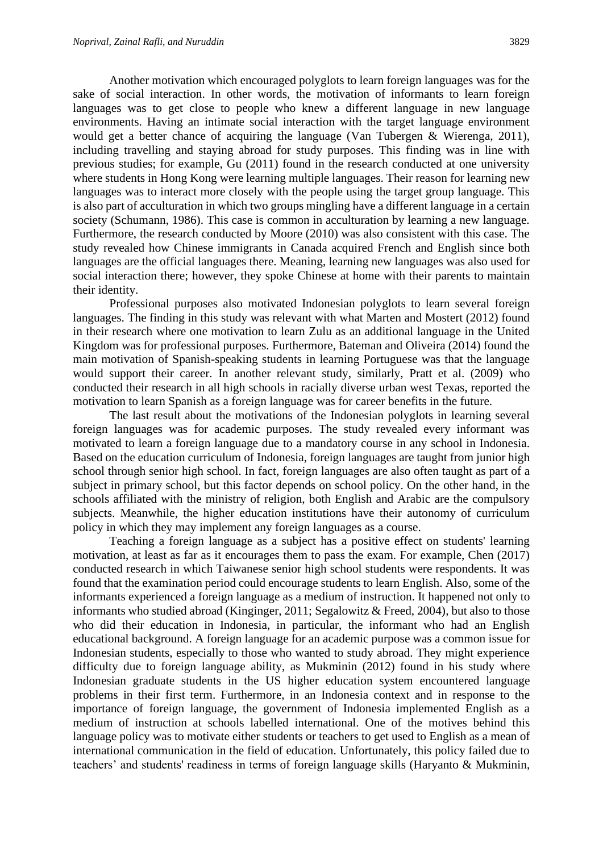Another motivation which encouraged polyglots to learn foreign languages was for the sake of social interaction. In other words, the motivation of informants to learn foreign languages was to get close to people who knew a different language in new language environments. Having an intimate social interaction with the target language environment would get a better chance of acquiring the language (Van Tubergen & Wierenga, 2011), including travelling and staying abroad for study purposes. This finding was in line with previous studies; for example, Gu (2011) found in the research conducted at one university where students in Hong Kong were learning multiple languages. Their reason for learning new languages was to interact more closely with the people using the target group language. This is also part of acculturation in which two groups mingling have a different language in a certain society (Schumann, 1986). This case is common in acculturation by learning a new language. Furthermore, the research conducted by Moore (2010) was also consistent with this case. The study revealed how Chinese immigrants in Canada acquired French and English since both languages are the official languages there. Meaning, learning new languages was also used for social interaction there; however, they spoke Chinese at home with their parents to maintain their identity.

Professional purposes also motivated Indonesian polyglots to learn several foreign languages. The finding in this study was relevant with what Marten and Mostert (2012) found in their research where one motivation to learn Zulu as an additional language in the United Kingdom was for professional purposes. Furthermore, Bateman and Oliveira (2014) found the main motivation of Spanish-speaking students in learning Portuguese was that the language would support their career. In another relevant study, similarly, Pratt et al. (2009) who conducted their research in all high schools in racially diverse urban west Texas, reported the motivation to learn Spanish as a foreign language was for career benefits in the future.

The last result about the motivations of the Indonesian polyglots in learning several foreign languages was for academic purposes. The study revealed every informant was motivated to learn a foreign language due to a mandatory course in any school in Indonesia. Based on the education curriculum of Indonesia, foreign languages are taught from junior high school through senior high school. In fact, foreign languages are also often taught as part of a subject in primary school, but this factor depends on school policy. On the other hand, in the schools affiliated with the ministry of religion, both English and Arabic are the compulsory subjects. Meanwhile, the higher education institutions have their autonomy of curriculum policy in which they may implement any foreign languages as a course.

Teaching a foreign language as a subject has a positive effect on students' learning motivation, at least as far as it encourages them to pass the exam. For example, Chen (2017) conducted research in which Taiwanese senior high school students were respondents. It was found that the examination period could encourage students to learn English. Also, some of the informants experienced a foreign language as a medium of instruction. It happened not only to informants who studied abroad (Kinginger, 2011; Segalowitz & Freed, 2004), but also to those who did their education in Indonesia, in particular, the informant who had an English educational background. A foreign language for an academic purpose was a common issue for Indonesian students, especially to those who wanted to study abroad. They might experience difficulty due to foreign language ability, as Mukminin (2012) found in his study where Indonesian graduate students in the US higher education system encountered language problems in their first term. Furthermore, in an Indonesia context and in response to the importance of foreign language, the government of Indonesia implemented English as a medium of instruction at schools labelled international. One of the motives behind this language policy was to motivate either students or teachers to get used to English as a mean of international communication in the field of education. Unfortunately, this policy failed due to teachers' and students' readiness in terms of foreign language skills (Haryanto & Mukminin,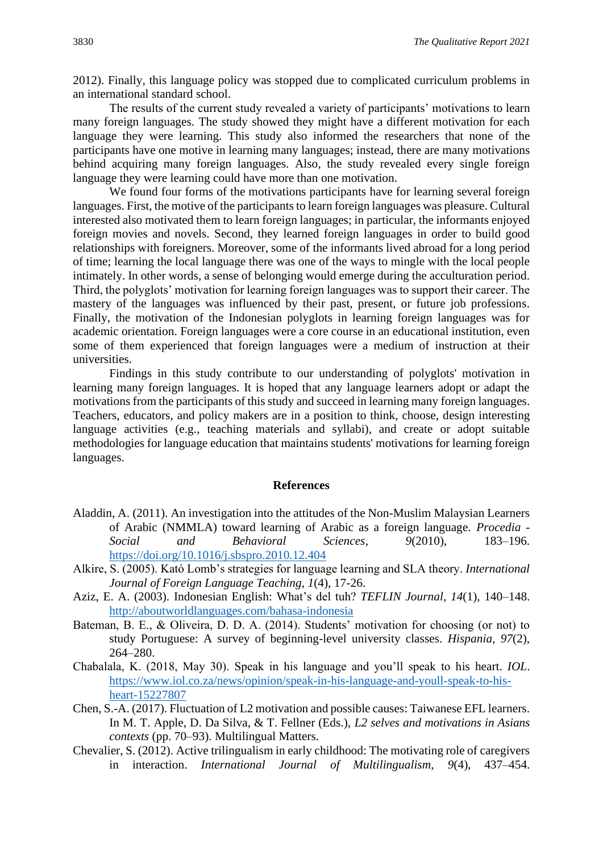2012). Finally, this language policy was stopped due to complicated curriculum problems in an international standard school.

The results of the current study revealed a variety of participants' motivations to learn many foreign languages. The study showed they might have a different motivation for each language they were learning. This study also informed the researchers that none of the participants have one motive in learning many languages; instead, there are many motivations behind acquiring many foreign languages. Also, the study revealed every single foreign language they were learning could have more than one motivation.

We found four forms of the motivations participants have for learning several foreign languages. First, the motive of the participants to learn foreign languages was pleasure. Cultural interested also motivated them to learn foreign languages; in particular, the informants enjoyed foreign movies and novels. Second, they learned foreign languages in order to build good relationships with foreigners. Moreover, some of the informants lived abroad for a long period of time; learning the local language there was one of the ways to mingle with the local people intimately. In other words, a sense of belonging would emerge during the acculturation period. Third, the polyglots' motivation for learning foreign languages was to support their career. The mastery of the languages was influenced by their past, present, or future job professions. Finally, the motivation of the Indonesian polyglots in learning foreign languages was for academic orientation. Foreign languages were a core course in an educational institution, even some of them experienced that foreign languages were a medium of instruction at their universities.

Findings in this study contribute to our understanding of polyglots' motivation in learning many foreign languages. It is hoped that any language learners adopt or adapt the motivations from the participants of this study and succeed in learning many foreign languages. Teachers, educators, and policy makers are in a position to think, choose, design interesting language activities (e.g., teaching materials and syllabi), and create or adopt suitable methodologies for language education that maintains students' motivations for learning foreign languages.

#### **References**

- Aladdin, A. (2011). An investigation into the attitudes of the Non-Muslim Malaysian Learners of Arabic (NMMLA) toward learning of Arabic as a foreign language. *Procedia - Social and Behavioral Sciences*, *9*(2010), 183–196. <https://doi.org/10.1016/j.sbspro.2010.12.404>
- Alkire, S. (2005). Kató Lomb's strategies for language learning and SLA theory. *International Journal of Foreign Language Teaching*, *1*(4), 17-26.
- Aziz, E. A. (2003). Indonesian English: What's del tuh? *TEFLIN Journal*, *14*(1), 140–148. <http://aboutworldlanguages.com/bahasa-indonesia>
- Bateman, B. E., & Oliveira, D. D. A. (2014). Students' motivation for choosing (or not) to study Portuguese: A survey of beginning-level university classes. *Hispania*, *97*(2), 264–280.
- Chabalala, K. (2018, May 30). Speak in his language and you'll speak to his heart. *IOL*. [https://www.iol.co.za/news/opinion/speak-in-his-language-and-youll-speak-to-his](https://www.iol.co.za/news/opinion/speak-in-his-language-and-youll-speak-to-his-heart-15227807)[heart-15227807](https://www.iol.co.za/news/opinion/speak-in-his-language-and-youll-speak-to-his-heart-15227807)
- Chen, S.-A. (2017). Fluctuation of L2 motivation and possible causes: Taiwanese EFL learners. In M. T. Apple, D. Da Silva, & T. Fellner (Eds.), *L2 selves and motivations in Asians contexts* (pp. 70–93). Multilingual Matters.
- Chevalier, S. (2012). Active trilingualism in early childhood: The motivating role of caregivers in interaction. *International Journal of Multilingualism*, *9*(4), 437–454.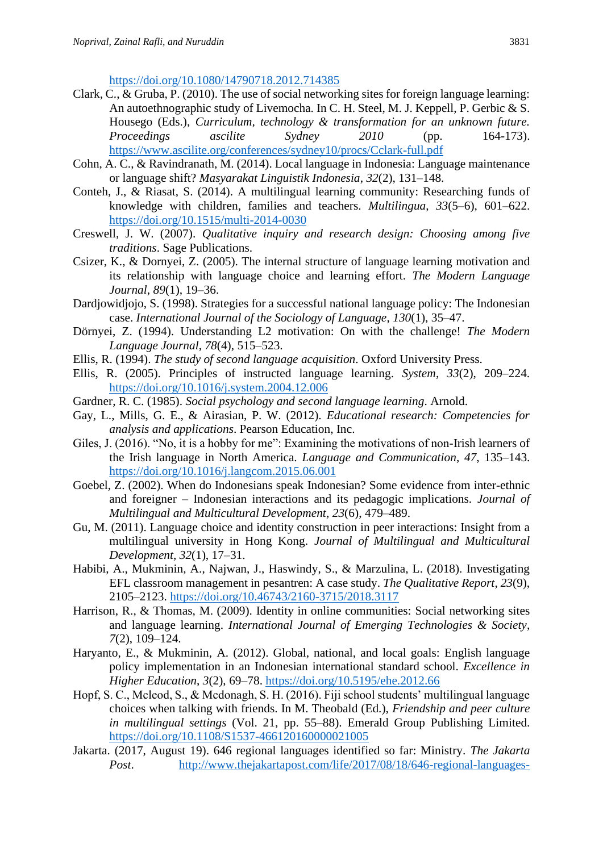<https://doi.org/10.1080/14790718.2012.714385>

- Clark, C., & Gruba, P. (2010). The use of social networking sites for foreign language learning: An autoethnographic study of Livemocha. In C. H. Steel, M. J. Keppell, P. Gerbic & S. Housego (Eds.), *Curriculum, technology & transformation for an unknown future. Proceedings ascilite Sydney 2010* (pp. 164-173). <https://www.ascilite.org/conferences/sydney10/procs/Cclark-full.pdf>
- Cohn, A. C., & Ravindranath, M. (2014). Local language in Indonesia: Language maintenance or language shift? *Masyarakat Linguistik Indonesia*, *32*(2), 131–148.
- Conteh, J., & Riasat, S. (2014). A multilingual learning community: Researching funds of knowledge with children, families and teachers. *Multilingua*, *33*(5–6), 601–622. <https://doi.org/10.1515/multi-2014-0030>
- Creswell, J. W. (2007). *Qualitative inquiry and research design: Choosing among five traditions*. Sage Publications.
- Csizer, K., & Dornyei, Z. (2005). The internal structure of language learning motivation and its relationship with language choice and learning effort. *The Modern Language Journal*, *89*(1), 19–36.
- Dardjowidjojo, S. (1998). Strategies for a successful national language policy: The Indonesian case. *International Journal of the Sociology of Language*, *130*(1), 35–47.
- Dörnyei, Z. (1994). Understanding L2 motivation: On with the challenge! *The Modern Language Journal*, *78*(4), 515–523.
- Ellis, R. (1994). *The study of second language acquisition*. Oxford University Press.
- Ellis, R. (2005). Principles of instructed language learning. *System*, *33*(2), 209–224. <https://doi.org/10.1016/j.system.2004.12.006>
- Gardner, R. C. (1985). *Social psychology and second language learning*. Arnold.
- Gay, L., Mills, G. E., & Airasian, P. W. (2012). *Educational research: Competencies for analysis and applications*. Pearson Education, Inc.
- Giles, J. (2016). "No, it is a hobby for me": Examining the motivations of non-Irish learners of the Irish language in North America. *Language and Communication*, *47*, 135–143. <https://doi.org/10.1016/j.langcom.2015.06.001>
- Goebel, Z. (2002). When do Indonesians speak Indonesian? Some evidence from inter-ethnic and foreigner – Indonesian interactions and its pedagogic implications. *Journal of Multilingual and Multicultural Development*, *23*(6), 479–489.
- Gu, M. (2011). Language choice and identity construction in peer interactions: Insight from a multilingual university in Hong Kong. *Journal of Multilingual and Multicultural Development*, *32*(1), 17–31.
- Habibi, A., Mukminin, A., Najwan, J., Haswindy, S., & Marzulina, L. (2018). Investigating EFL classroom management in pesantren: A case study. *The Qualitative Report*, *23*(9), 2105–2123. <https://doi.org/10.46743/2160-3715/2018.3117>
- Harrison, R., & Thomas, M. (2009). Identity in online communities: Social networking sites and language learning. *International Journal of Emerging Technologies & Society*, *7*(2), 109–124.
- Haryanto, E., & Mukminin, A. (2012). Global, national, and local goals: English language policy implementation in an Indonesian international standard school. *Excellence in Higher Education*, *3*(2), 69–78.<https://doi.org/10.5195/ehe.2012.66>
- Hopf, S. C., Mcleod, S., & Mcdonagh, S. H. (2016). Fiji school students' multilingual language choices when talking with friends. In M. Theobald (Ed.), *Friendship and peer culture in multilingual settings* (Vol. 21, pp. 55–88). Emerald Group Publishing Limited. <https://doi.org/10.1108/S1537-466120160000021005>
- Jakarta. (2017, August 19). 646 regional languages identified so far: Ministry. *The Jakarta Post*. [http://www.thejakartapost.com/life/2017/08/18/646-regional-languages-](http://www.thejakartapost.com/life/2017/08/18/646-regional-languages-identified-so-far-ministry.html)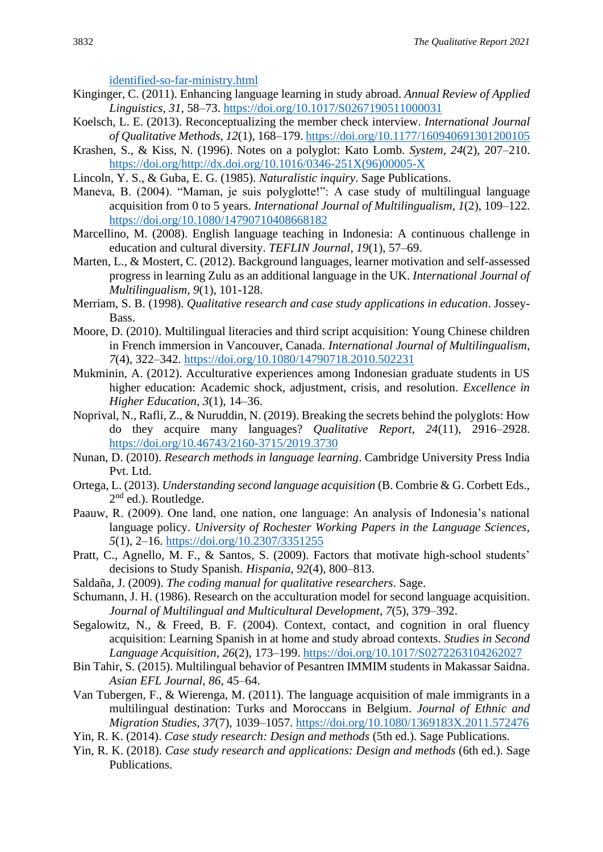[identified-so-far-ministry.html](http://www.thejakartapost.com/life/2017/08/18/646-regional-languages-identified-so-far-ministry.html)

- Kinginger, C. (2011). Enhancing language learning in study abroad. *Annual Review of Applied Linguistics*, *31*, 58–73.<https://doi.org/10.1017/S0267190511000031>
- Koelsch, L. E. (2013). Reconceptualizing the member check interview. *International Journal of Qualitative Methods*, *12*(1), 168–179.<https://doi.org/10.1177/160940691301200105>
- Krashen, S., & Kiss, N. (1996). Notes on a polyglot: Kato Lomb. *System*, *24*(2), 207–210. [https://doi.org/http://dx.doi.org/10.1016/0346-251X\(96\)00005-X](https://doi.org/http:/dx.doi.org/10.1016/0346-251X(96)00005-X)
- Lincoln, Y. S., & Guba, E. G. (1985). *Naturalistic inquiry*. Sage Publications.
- Maneva, B. (2004). "Maman, je suis polyglotte!": A case study of multilingual language acquisition from 0 to 5 years. *International Journal of Multilingualism*, *1*(2), 109–122. <https://doi.org/10.1080/14790710408668182>
- Marcellino, M. (2008). English language teaching in Indonesia: A continuous challenge in education and cultural diversity. *TEFLIN Journal*, *19*(1), 57–69.
- Marten, L., & Mostert, C. (2012). Background languages, learner motivation and self-assessed progress in learning Zulu as an additional language in the UK. *International Journal of Multilingualism*, *9*(1), 101-128.
- Merriam, S. B. (1998). *Qualitative research and case study applications in education*. Jossey-Bass.
- Moore, D. (2010). Multilingual literacies and third script acquisition: Young Chinese children in French immersion in Vancouver, Canada. *International Journal of Multilingualism*, *7*(4), 322–342.<https://doi.org/10.1080/14790718.2010.502231>
- Mukminin, A. (2012). Acculturative experiences among Indonesian graduate students in US higher education: Academic shock, adjustment, crisis, and resolution. *Excellence in Higher Education*, *3*(1), 14–36.
- Noprival, N., Rafli, Z., & Nuruddin, N. (2019). Breaking the secrets behind the polyglots: How do they acquire many languages? *Qualitative Report*, *24*(11), 2916–2928. <https://doi.org/10.46743/2160-3715/2019.3730>
- Nunan, D. (2010). *Research methods in language learning*. Cambridge University Press India Pvt. Ltd.
- Ortega, L. (2013). *Understanding second language acquisition* (B. Combrie & G. Corbett Eds., 2<sup>nd</sup> ed.). Routledge.
- Paauw, R. (2009). One land, one nation, one language: An analysis of Indonesia's national language policy. *University of Rochester Working Papers in the Language Sciences*, *5*(1), 2–16.<https://doi.org/10.2307/3351255>
- Pratt, C., Agnello, M. F., & Santos, S. (2009). Factors that motivate high-school students' decisions to Study Spanish. *Hispania*, *92*(4), 800–813.
- Saldaña, J. (2009). *The coding manual for qualitative researchers*. Sage.
- Schumann, J. H. (1986). Research on the acculturation model for second language acquisition. *Journal of Multilingual and Multicultural Development*, *7*(5), 379–392.
- Segalowitz, N., & Freed, B. F. (2004). Context, contact, and cognition in oral fluency acquisition: Learning Spanish in at home and study abroad contexts. *Studies in Second Language Acquisition*, *26*(2), 173–199.<https://doi.org/10.1017/S0272263104262027>
- Bin Tahir, S. (2015). Multilingual behavior of Pesantren IMMIM students in Makassar Saidna. *Asian EFL Journal*, *86*, 45–64.
- Van Tubergen, F., & Wierenga, M. (2011). The language acquisition of male immigrants in a multilingual destination: Turks and Moroccans in Belgium. *Journal of Ethnic and Migration Studies*, *37*(7), 1039–1057.<https://doi.org/10.1080/1369183X.2011.572476>
- Yin, R. K. (2014). *Case study research: Design and methods* (5th ed.). Sage Publications.
- Yin, R. K. (2018). *Case study research and applications: Design and methods* (6th ed.). Sage Publications.